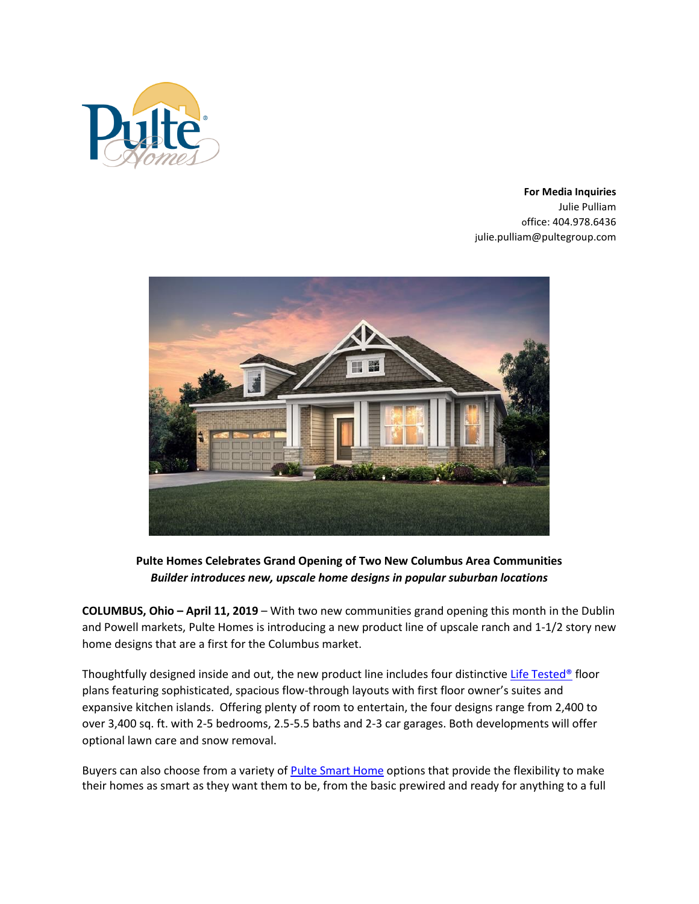

**For Media Inquiries** Julie Pulliam office: 404.978.6436 julie.pulliam@pultegroup.com



**Pulte Homes Celebrates Grand Opening of Two New Columbus Area Communities** *Builder introduces new, upscale home designs in popular suburban locations* 

**COLUMBUS, Ohio – April 11, 2019** – With two new communities grand opening this month in the Dublin and Powell markets, Pulte Homes is introducing a new product line of upscale ranch and 1-1/2 story new home designs that are a first for the Columbus market.

Thoughtfully designed inside and out, the new product line includes four distinctive [Life Tested®](https://www.pulte.com/design/life-tested) floor plans featuring sophisticated, spacious flow-through layouts with first floor owner's suites and expansive kitchen islands. Offering plenty of room to entertain, the four designs range from 2,400 to over 3,400 sq. ft. with 2-5 bedrooms, 2.5-5.5 baths and 2-3 car garages. Both developments will offer optional lawn care and snow removal.

Buyers can also choose from a variety o[f Pulte Smart Home](https://www.pulte.com/pulte-smart-home) options that provide the flexibility to make their homes as smart as they want them to be, from the basic prewired and ready for anything to a full